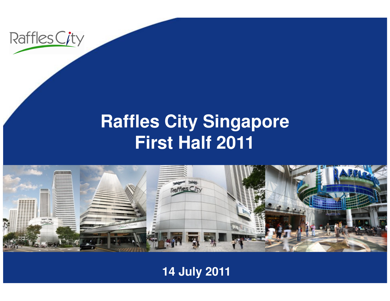

#### **Raffles City SingaporeFirst Half 2011**



#### **14 July 2011**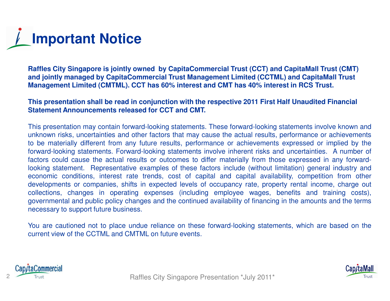## **Important Notice**

**Raffles City Singapore is jointly owned by CapitaCommercial Trust (CCT) and CapitaMall Trust (CMT) and jointly managed by CapitaCommercial Trust Management Limited (CCTML) and CapitaMall Trust Management Limited (CMTML). CCT has 60% interest and CMT has 40% interest in RCS Trust.** 

#### **This presentation shall be read in conjunction with the respective 2011 First Half Unaudited FinancialStatement Announcements released for CCT and CMT.**

This presentation may contain forward-looking statements. These forward-looking statements involve known and unknown risks, uncertainties and other factors that may cause the actual results, performance or achievements to be materially different from any future results, performance or achievements expressed or implied by the forward-looking statements. Forward-looking statements involve inherent risks and uncertainties. <sup>A</sup> number of factors could cause the actual results or outcomes to differ materially from those expressed in any forwardlooking statement. Representative examples of these factors include (without limitation) general industry and economic conditions, interest rate trends, cost of capital and capital availability, competition from other developments or companies, shifts in expected levels of occupancy rate, property rental income, charge out collections, changes in operating expenses (including employee wages, benefits and training costs), governmental and public policy changes and the continued availability of financing in the amounts and the termsnecessary to support future business.

You are cautioned not to place undue reliance on these forward-looking statements, which are based on thecurrent view of the CCTML and CMTML on future events.



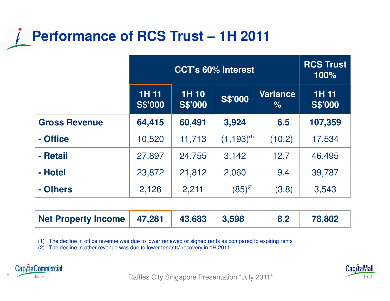#### **Performance of RCS Trust – 1H 2011**

|                      | <b>CCT's 60% Interest</b>      |                               |                 | <b>RCS Trust</b><br>100% |                         |
|----------------------|--------------------------------|-------------------------------|-----------------|--------------------------|-------------------------|
|                      | <b>1H 11</b><br><b>S\$'000</b> | <b>1H10</b><br><b>S\$'000</b> | <b>S\$'000</b>  | <b>Variance</b><br>$\%$  | 1H 11<br><b>S\$'000</b> |
| <b>Gross Revenue</b> | 64,415                         | 60,491                        | 3,924           | 6.5                      | 107,359                 |
| - Office             | 10,520                         | 11,713                        | $(1,193)^{(1)}$ | (10.2)                   | 17,534                  |
| - Retail             | 27,897                         | 24,755                        | 3,142           | 12.7                     | 46,495                  |
| - Hotel              | 23,872                         | 21,812                        | 2,060           | 9.4                      | 39,787                  |
| - Others             | 2,126                          | 2,211                         | $(85)^{(2)}$    | (3.8)                    | 3,543                   |

| Net Property Income   47,281 | $ $ 43,683 $ $ 3,598 | 8.2 | 78,802 |
|------------------------------|----------------------|-----|--------|

(1) The decline in office revenue was due to lower renewed or signed rents as compared to expiring rents

(2) The decline in other revenue was due to lower tenants' recovery in 1H 2011



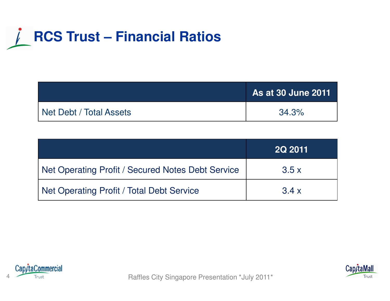### **RCS Trust – Financial Ratios**

|                         | As at 30 June 2011 |
|-------------------------|--------------------|
| Net Debt / Total Assets | 34.3%              |

|                                                   | <b>2Q 2011</b> |
|---------------------------------------------------|----------------|
| Net Operating Profit / Secured Notes Debt Service | 3.5x           |
| Net Operating Profit / Total Debt Service         | 3.4x           |





A Trust Trust **Raffles City Singapore Presentation \*July 2011\***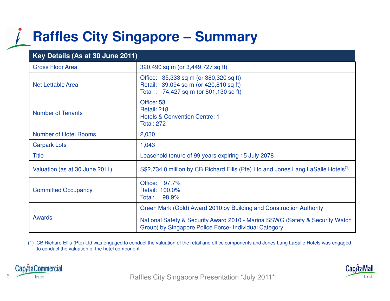#### **Raffles City Singapore – Summary**

| Key Details (As at 30 June 2011) |                                                                                                                                       |  |  |
|----------------------------------|---------------------------------------------------------------------------------------------------------------------------------------|--|--|
| <b>Gross Floor Area</b>          | 320,490 sq m (or 3,449,727 sq ft)                                                                                                     |  |  |
| Net Lettable Area                | Office: 35,333 sq m (or 380,320 sq ft)<br>Retail: 39,094 sq m (or 420,810 sq ft)<br>Total: 74,427 sq m (or 801,130 sq ft)             |  |  |
| <b>Number of Tenants</b>         | Office: 53<br>Retail: 218<br><b>Hotels &amp; Convention Centre: 1</b><br><b>Total: 272</b>                                            |  |  |
| <b>Number of Hotel Rooms</b>     | 2,030                                                                                                                                 |  |  |
| <b>Carpark Lots</b>              | 1,043                                                                                                                                 |  |  |
| <b>Title</b>                     | Leasehold tenure of 99 years expiring 15 July 2078                                                                                    |  |  |
| Valuation (as at 30 June 2011)   | S\$2,734.0 million by CB Richard Ellis (Pte) Ltd and Jones Lang LaSalle Hotels <sup>(1)</sup>                                         |  |  |
| <b>Committed Occupancy</b>       | 97.7%<br>Office:<br>Retail: 100.0%<br>98.9%<br>Total:                                                                                 |  |  |
|                                  | Green Mark (Gold) Award 2010 by Building and Construction Authority                                                                   |  |  |
| <b>Awards</b>                    | National Safety & Security Award 2010 - Marina SSWG (Safety & Security Watch<br>Group) by Singapore Police Force- Individual Category |  |  |

(1) CB Richard Ellis (Pte) Ltd was engaged to conduct the valuation of the retail and office components and Jones Lang LaSalle Hotels was engaged to conduct the valuation of the hotel component



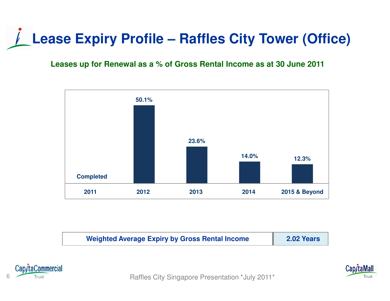### **Lease Expiry Profile – Raffles City Tower (Office)**

#### **Leases up for Renewal as a % of Gross Rental Income as at 30 June 2011**



| <b>Weighted Average Expiry by Gross Rental Income</b> | 2.02 Years |
|-------------------------------------------------------|------------|
|-------------------------------------------------------|------------|



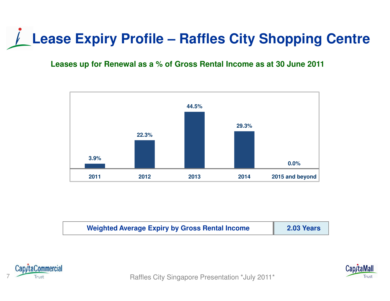### **Lease Expiry Profile – Raffles City Shopping Centre**

#### **Leases up for Renewal as a % of Gross Rental Income as at 30 June 2011**



| <b>Weighted Average Expiry by Gross Rental Income</b> | 2.03 Years |
|-------------------------------------------------------|------------|
|-------------------------------------------------------|------------|



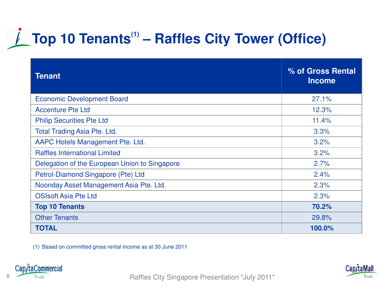## **Top 10 Tenants(1) – Raffles City Tower (Office)**

| <b>Tenant</b>                                 | % of Gross Rental<br><b>Income</b> |
|-----------------------------------------------|------------------------------------|
| <b>Economic Development Board</b>             | 27.1%                              |
| <b>Accenture Pte Ltd</b>                      | 12.3%                              |
| <b>Philip Securities Pte Ltd</b>              | 11.4%                              |
| <b>Total Trading Asia Pte. Ltd.</b>           | 3.3%                               |
| AAPC Hotels Management Pte. Ltd.              | 3.2%                               |
| <b>Raffles International Limited</b>          | 3.2%                               |
| Delegation of the European Union to Singapore | 2.7%                               |
| Petrol-Diamond Singapore (Pte) Ltd            | 2.4%                               |
| Noonday Asset Management Asia Pte. Ltd.       | 2.3%                               |
| <b>OSIsoft Asia Pte Ltd</b>                   | 2.3%                               |
| <b>Top 10 Tenants</b>                         | 70.2%                              |
| <b>Other Tenants</b>                          | 29.8%                              |
| <b>TOTAL</b>                                  | 100.0%                             |

(1) Based on committed gross rental income as at 30 June 2011



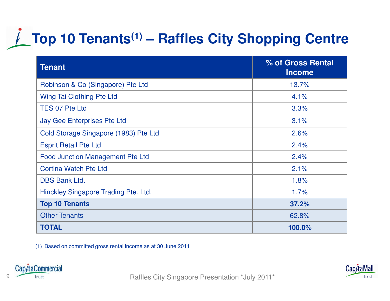### **Top 10 Tenants(1) – Raffles City Shopping Centre**

| <b>Tenant</b>                           | % of Gross Rental<br><b>Income</b> |
|-----------------------------------------|------------------------------------|
| Robinson & Co (Singapore) Pte Ltd       | 13.7%                              |
| Wing Tai Clothing Pte Ltd               | 4.1%                               |
| <b>TES 07 Pte Ltd</b>                   | 3.3%                               |
| <b>Jay Gee Enterprises Pte Ltd</b>      | 3.1%                               |
| Cold Storage Singapore (1983) Pte Ltd   | 2.6%                               |
| <b>Esprit Retail Pte Ltd</b>            | 2.4%                               |
| <b>Food Junction Management Pte Ltd</b> | 2.4%                               |
| <b>Cortina Watch Pte Ltd</b>            | 2.1%                               |
| <b>DBS Bank Ltd.</b>                    | 1.8%                               |
| Hinckley Singapore Trading Pte. Ltd.    | 1.7%                               |
| <b>Top 10 Tenants</b>                   | 37.2%                              |
| <b>Other Tenants</b>                    | 62.8%                              |
| <b>TOTAL</b>                            | 100.0%                             |

(1) Based on committed gross rental income as at 30 June 2011





affles City Singapore Presentation \*July 2011\* Presentation \*July 2011\*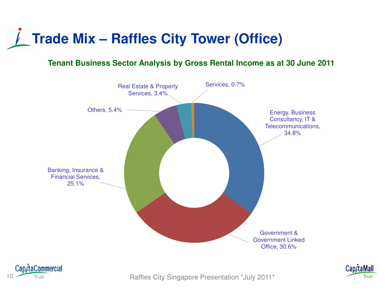## **Trade Mix – Raffles City Tower (Office)**

#### **Tenant Business Sector Analysis by Gross Rental Income as at 30 June 2011**







Trust Trust Trust **Raffles City Singapore Presentation \*July 2011\***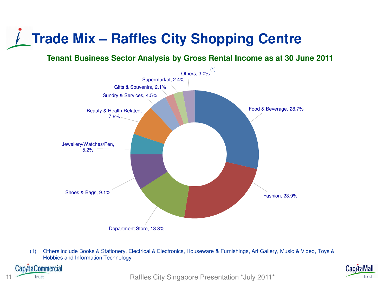### **Trade Mix – Raffles City Shopping Centre**

**Tenant Business Sector Analysis by Gross Rental Income as at 30 June 2011**



(1) Others include Books & Stationery, Electrical & Electronics, Houseware & Furnishings, Art Gallery, Music & Video, Toys & Hobbies and Information Technology



Cap/taMall **Trust**